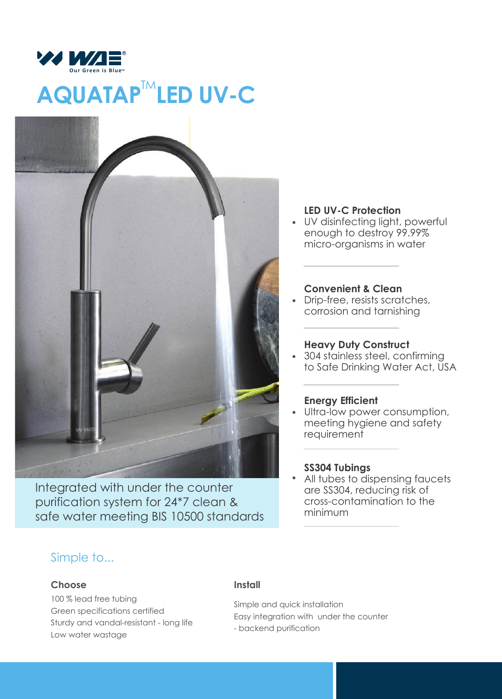

# **AQUATAP<sup>™</sup>LED UV-C**



Integrated with under the counter purification system for 24\*7 clean & safe water meeting BIS 10500 standards

## **LED UV-C Protection**

UV disinfecting light, powerful enough to destroy 99.99% micro-organisms in water

## **Convenient & Clean**

Drip-free, resists scratches, corrosion and tarnishing

## **Heavy Duty Construct**

304 stainless steel, confirming to Safe Drinking Water Act, USA

## **Energy Efficient**

Ultra-low power consumption, meeting hygiene and safety requirement

### **SS304 Tubings**

All tubes to dispensing faucets are SS304, reducing risk of cross-contamination to the minimum

## Simple to...

#### **Choose**

100 % lead free tubing Green specifications certified Sturdy and vandal-resistant - long life Low water wastage

#### **Install**

Simple and quick installation Easy integration with under the counter - backend purification